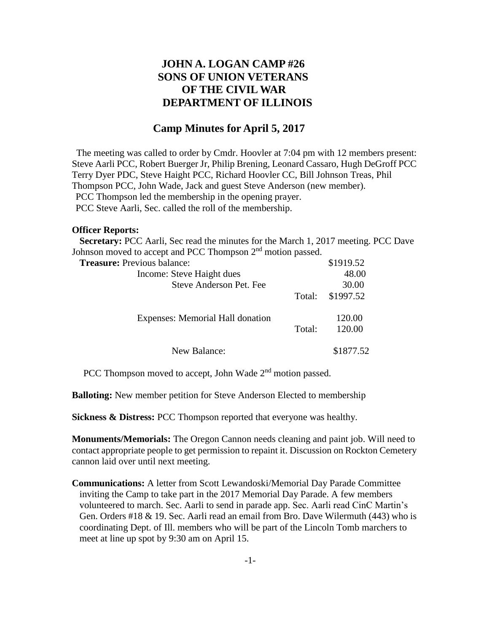## **JOHN A. LOGAN CAMP #26 SONS OF UNION VETERANS OF THE CIVIL WAR DEPARTMENT OF ILLINOIS**

## **Camp Minutes for April 5, 2017**

The meeting was called to order by Cmdr. Hoovler at 7:04 pm with 12 members present: Steve Aarli PCC, Robert Buerger Jr, Philip Brening, Leonard Cassaro, Hugh DeGroff PCC Terry Dyer PDC, Steve Haight PCC, Richard Hoovler CC, Bill Johnson Treas, Phil Thompson PCC, John Wade, Jack and guest Steve Anderson (new member). PCC Thompson led the membership in the opening prayer. PCC Steve Aarli, Sec. called the roll of the membership.

## **Officer Reports:**

 **Secretary:** PCC Aarli, Sec read the minutes for the March 1, 2017 meeting. PCC Dave Johnson moved to accept and PCC Thompson  $2<sup>nd</sup>$  motion passed.

| <b>Treasure:</b> Previous balance: |        | \$1919.52 |
|------------------------------------|--------|-----------|
| Income: Steve Haight dues          |        | 48.00     |
| Steve Anderson Pet. Fee            |        | 30.00     |
|                                    | Total: | \$1997.52 |
| Expenses: Memorial Hall donation   |        | 120.00    |
|                                    | Total: | 120.00    |
| New Balance:                       |        | \$1877.52 |

PCC Thompson moved to accept, John Wade 2<sup>nd</sup> motion passed.

**Balloting:** New member petition for Steve Anderson Elected to membership

**Sickness & Distress:** PCC Thompson reported that everyone was healthy.

**Monuments/Memorials:** The Oregon Cannon needs cleaning and paint job. Will need to contact appropriate people to get permission to repaint it. Discussion on Rockton Cemetery cannon laid over until next meeting.

**Communications:** A letter from Scott Lewandoski/Memorial Day Parade Committee inviting the Camp to take part in the 2017 Memorial Day Parade. A few members volunteered to march. Sec. Aarli to send in parade app. Sec. Aarli read CinC Martin's Gen. Orders #18 & 19. Sec. Aarli read an email from Bro. Dave Wilermuth (443) who is coordinating Dept. of Ill. members who will be part of the Lincoln Tomb marchers to meet at line up spot by 9:30 am on April 15.